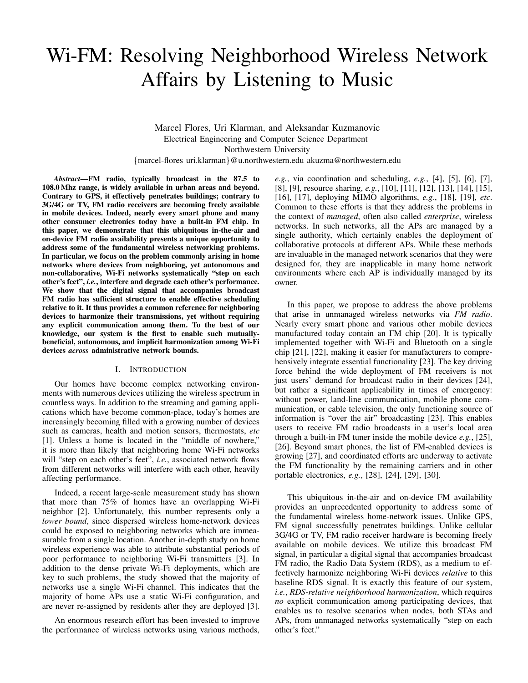# Wi-FM: Resolving Neighborhood Wireless Network Affairs by Listening to Music

Marcel Flores, Uri Klarman, and Aleksandar Kuzmanovic Electrical Engineering and Computer Science Department Northwestern University {marcel-flores uri.klarman}@u.northwestern.edu akuzma@northwestern.edu

*Abstract*—FM radio, typically broadcast in the 87.5 to 108.0 Mhz range, is widely available in urban areas and beyond. Contrary to GPS, it effectively penetrates buildings; contrary to 3G/4G or TV, FM radio receivers are becoming freely available in mobile devices. Indeed, nearly every smart phone and many other consumer electronics today have a built-in FM chip. In this paper, we demonstrate that this ubiquitous in-the-air and on-device FM radio availability presents a unique opportunity to address some of the fundamental wireless networking problems. In particular, we focus on the problem commonly arising in home networks where devices from neighboring, yet autonomous and non-collaborative, Wi-Fi networks systematically "step on each other's feet", *i.e.*, interfere and degrade each other's performance. We show that the digital signal that accompanies broadcast FM radio has sufficient structure to enable effective scheduling relative to it. It thus provides a common reference for neighboring devices to harmonize their transmissions, yet without requiring any explicit communication among them. To the best of our knowledge, our system is the first to enable such mutuallybeneficial, autonomous, and implicit harmonization among Wi-Fi devices *across* administrative network bounds.

## I. INTRODUCTION

Our homes have become complex networking environments with numerous devices utilizing the wireless spectrum in countless ways. In addition to the streaming and gaming applications which have become common-place, today's homes are increasingly becoming filled with a growing number of devices such as cameras, health and motion sensors, thermostats, *etc* [1]. Unless a home is located in the "middle of nowhere," it is more than likely that neighboring home Wi-Fi networks will "step on each other's feet", *i.e.*, associated network flows from different networks will interfere with each other, heavily affecting performance.

Indeed, a recent large-scale measurement study has shown that more than 75% of homes have an overlapping Wi-Fi neighbor [2]. Unfortunately, this number represents only a *lower bound*, since dispersed wireless home-network devices could be exposed to neighboring networks which are immeasurable from a single location. Another in-depth study on home wireless experience was able to attribute substantial periods of poor performance to neighboring Wi-Fi transmitters [3]. In addition to the dense private Wi-Fi deployments, which are key to such problems, the study showed that the majority of networks use a single Wi-Fi channel. This indicates that the majority of home APs use a static Wi-Fi configuration, and are never re-assigned by residents after they are deployed [3].

An enormous research effort has been invested to improve the performance of wireless networks using various methods, *e.g.*, via coordination and scheduling, *e.g.*, [4], [5], [6], [7], [8], [9], resource sharing, *e.g.*, [10], [11], [12], [13], [14], [15], [16], [17], deploying MIMO algorithms, *e.g.*, [18], [19], *etc*. Common to these efforts is that they address the problems in the context of *managed*, often also called *enterprise*, wireless networks. In such networks, all the APs are managed by a single authority, which certainly enables the deployment of collaborative protocols at different APs. While these methods are invaluable in the managed network scenarios that they were designed for, they are inapplicable in many home network environments where each AP is individually managed by its owner.

In this paper, we propose to address the above problems that arise in unmanaged wireless networks via *FM radio*. Nearly every smart phone and various other mobile devices manufactured today contain an FM chip [20]. It is typically implemented together with Wi-Fi and Bluetooth on a single chip [21], [22], making it easier for manufacturers to comprehensively integrate essential functionality [23]. The key driving force behind the wide deployment of FM receivers is not just users' demand for broadcast radio in their devices [24], but rather a significant applicability in times of emergency: without power, land-line communication, mobile phone communication, or cable television, the only functioning source of information is "over the air" broadcasting [23]. This enables users to receive FM radio broadcasts in a user's local area through a built-in FM tuner inside the mobile device *e.g.*, [25], [26]. Beyond smart phones, the list of FM-enabled devices is growing [27], and coordinated efforts are underway to activate the FM functionality by the remaining carriers and in other portable electronics, *e.g.*, [28], [24], [29], [30].

This ubiquitous in-the-air and on-device FM availability provides an unprecedented opportunity to address some of the fundamental wireless home-network issues. Unlike GPS, FM signal successfully penetrates buildings. Unlike cellular 3G/4G or TV, FM radio receiver hardware is becoming freely available on mobile devices. We utilize this broadcast FM signal, in particular a digital signal that accompanies broadcast FM radio, the Radio Data System (RDS), as a medium to effectively harmonize neighboring Wi-Fi devices *relative* to this baseline RDS signal. It is exactly this feature of our system, *i.e.*, *RDS-relative neighborhood harmonization*, which requires *no* explicit communication among participating devices, that enables us to resolve scenarios when nodes, both STAs and APs, from unmanaged networks systematically "step on each other's feet."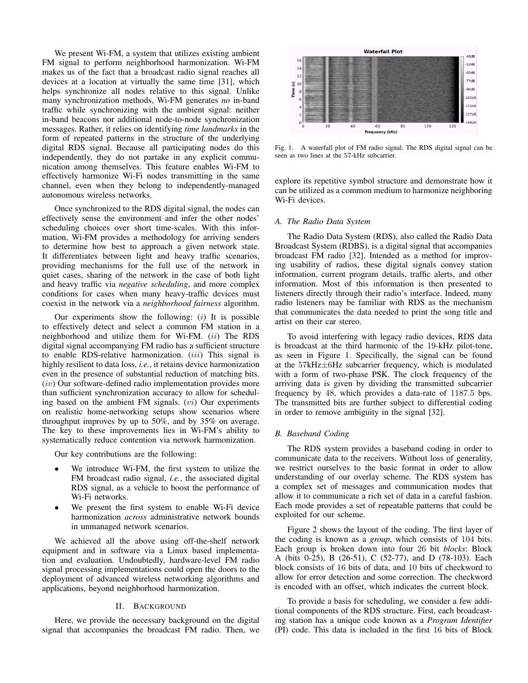We present Wi-FM, a system that utilizes existing ambient FM signal to perform neighborhood harmonization. Wi-FM makes us of the fact that a broadcast radio signal reaches all devices at a location at virtually the same time [31], which helps synchronize all nodes relative to this signal. Unlike many synchronization methods, Wi-FM generates *no* in-band traffic while synchronizing with the ambient signal: neither in-band beacons nor additional node-to-node synchronization messages. Rather, it relies on identifying *time landmarks* in the form of repeated patterns in the structure of the underlying digital RDS signal. Because all participating nodes do this independently, they do not partake in any explicit communication among themselves. This feature enables Wi-FM to effectively harmonize Wi-Fi nodes transmitting in the same channel, even when they belong to independently-managed autonomous wireless networks.

Once synchronized to the RDS digital signal, the nodes can effectively sense the environment and infer the other nodes' scheduling choices over short time-scales. With this information, Wi-FM provides a methodology for arriving senders to determine how best to approach a given network state. It differentiates between light and heavy traffic scenarios, providing mechanisms for the full use of the network in quiet cases, sharing of the network in the case of both light and heavy traffic via *negative scheduling*, and more complex conditions for cases when many heavy-traffic devices must coexist in the network via a *neighborhood fairness* algorithm.

Our experiments show the following:  $(i)$  It is possible to effectively detect and select a common FM station in a neighborhood and utilize them for Wi-FM.  $(ii)$  The RDS digital signal accompanying FM radio has a sufficient structure to enable RDS-relative harmonization.  $(iii)$  This signal is highly resilient to data loss, *i.e.*, it retains device harmonization even in the presence of substantial reduction of matching bits. (iv) Our software-defined radio implementation provides more than sufficient synchronization accuracy to allow for scheduling based on the ambient FM signals.  $(vi)$  Our experiments on realistic home-networking setups show scenarios where throughput improves by up to 50%, and by 35% on average. The key to these improvements lies in Wi-FM's ability to systematically reduce contention via network harmonization.

Our key contributions are the following:

- We introduce Wi-FM, the first system to utilize the FM broadcast radio signal, *i.e.*, the associated digital RDS signal, as a vehicle to boost the performance of Wi-Fi networks.
- We present the first system to enable Wi-Fi device harmonization *across* administrative network bounds in unmanaged network scenarios.

We achieved all the above using off-the-shelf network equipment and in software via a Linux based implementation and evaluation. Undoubtedly, hardware-level FM radio signal processing implementations could open the doors to the deployment of advanced wireless networking algorithms and applications, beyond neighborhood harmonization.

## II. BACKGROUND

Here, we provide the necessary background on the digital signal that accompanies the broadcast FM radio. Then, we



Fig. 1. A waterfall plot of FM radio signal. The RDS digital signal can be seen as two lines at the 57-kHz subcarrier.

explore its repetitive symbol structure and demonstrate how it can be utilized as a common medium to harmonize neighboring Wi-Fi devices.

## *A. The Radio Data System*

The Radio Data System (RDS), also called the Radio Data Broadcast System (RDBS), is a digital signal that accompanies broadcast FM radio [32]. Intended as a method for improving usability of radios, these digital signals convey station information, current program details, traffic alerts, and other information. Most of this information is then presented to listeners directly through their radio's interface. Indeed, many radio listeners may be familiar with RDS as the mechanism that communicates the data needed to print the song title and artist on their car stereo.

To avoid interfering with legacy radio devices, RDS data is broadcast at the third harmonic of the 19-kHz pilot-tone, as seen in Figure 1. Specifically, the signal can be found at the 57kHz±6Hz subcarrier frequency, which is modulated with a form of two-phase PSK. The clock frequency of the arriving data is given by dividing the transmitted subcarrier frequency by 48, which provides a data-rate of 1187.5 bps. The transmitted bits are further subject to differential coding in order to remove ambiguity in the signal [32].

## *B. Baseband Coding*

The RDS system provides a baseband coding in order to communicate data to the receivers. Without loss of generality, we restrict ourselves to the basic format in order to allow understanding of our overlay scheme. The RDS system has a complex set of messages and communication modes that allow it to communicate a rich set of data in a careful fashion. Each mode provides a set of repeatable patterns that could be exploited for our scheme.

Figure 2 shows the layout of the coding. The first layer of the coding is known as a *group*, which consists of 104 bits. Each group is broken down into four 26 bit *blocks*: Block A (bits 0-25), B (26-51), C (52-77), and D (78-103). Each block consists of 16 bits of data, and 10 bits of checkword to allow for error detection and some correction. The checkword is encoded with an offset, which indicates the current block.

To provide a basis for scheduling, we consider a few additional components of the RDS structure. First, each broadcasting station has a unique code known as a *Program Identifier* (PI) code. This data is included in the first 16 bits of Block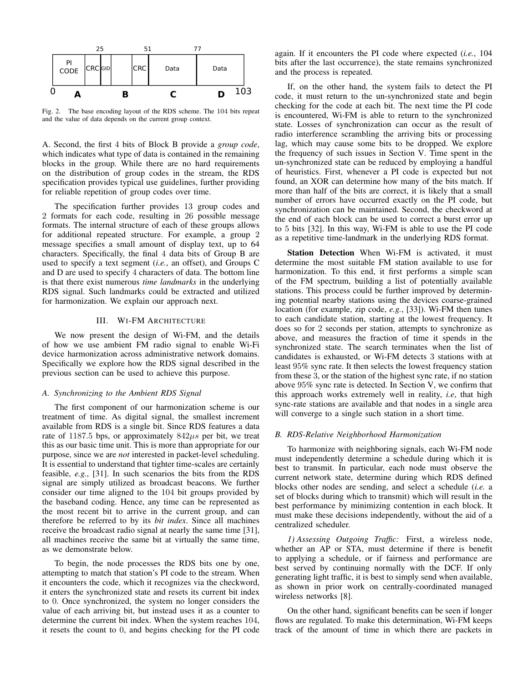

Fig. 2. The base encoding layout of the RDS scheme. The 104 bits repeat and the value of data depends on the current group context.

A. Second, the first 4 bits of Block B provide a *group code*, which indicates what type of data is contained in the remaining blocks in the group. While there are no hard requirements on the distribution of group codes in the stream, the RDS specification provides typical use guidelines, further providing for reliable repetition of group codes over time.

The specification further provides 13 group codes and 2 formats for each code, resulting in 26 possible message formats. The internal structure of each of these groups allows for additional repeated structure. For example, a group 2 message specifies a small amount of display text, up to 64 characters. Specifically, the final 4 data bits of Group B are used to specify a text segment (*i.e.*, an offset), and Groups C and D are used to specify 4 characters of data. The bottom line is that there exist numerous *time landmarks* in the underlying RDS signal. Such landmarks could be extracted and utilized for harmonization. We explain our approach next.

### III. WI-FM ARCHITECTURE

We now present the design of Wi-FM, and the details of how we use ambient FM radio signal to enable Wi-Fi device harmonization across administrative network domains. Specifically we explore how the RDS signal described in the previous section can be used to achieve this purpose.

## *A. Synchronizing to the Ambient RDS Signal*

The first component of our harmonization scheme is our treatment of time. As digital signal, the smallest increment available from RDS is a single bit. Since RDS features a data rate of 1187.5 bps, or approximately  $842\mu s$  per bit, we treat this as our basic time unit. This is more than appropriate for our purpose, since we are *not* interested in packet-level scheduling. It is essential to understand that tighter time-scales are certainly feasible, *e.g.*, [31]. In such scenarios the bits from the RDS signal are simply utilized as broadcast beacons. We further consider our time aligned to the 104 bit groups provided by the baseband coding. Hence, any time can be represented as the most recent bit to arrive in the current group, and can therefore be referred to by its *bit index*. Since all machines receive the broadcast radio signal at nearly the same time [31], all machines receive the same bit at virtually the same time, as we demonstrate below.

To begin, the node processes the RDS bits one by one, attempting to match that station's PI code to the stream. When it encounters the code, which it recognizes via the checkword, it enters the synchronized state and resets its current bit index to 0. Once synchronized, the system no longer considers the value of each arriving bit, but instead uses it as a counter to determine the current bit index. When the system reaches 104, it resets the count to 0, and begins checking for the PI code again. If it encounters the PI code where expected (*i.e.*, 104 bits after the last occurrence), the state remains synchronized and the process is repeated.

If, on the other hand, the system fails to detect the PI code, it must return to the un-synchronized state and begin checking for the code at each bit. The next time the PI code is encountered, Wi-FM is able to return to the synchronized state. Losses of synchronization can occur as the result of radio interference scrambling the arriving bits or processing lag, which may cause some bits to be dropped. We explore the frequency of such issues in Section V. Time spent in the un-synchronized state can be reduced by employing a handful of heuristics. First, whenever a PI code is expected but not found, an XOR can determine how many of the bits match. If more than half of the bits are correct, it is likely that a small number of errors have occurred exactly on the PI code, but synchronization can be maintained. Second, the checkword at the end of each block can be used to correct a burst error up to 5 bits [32]. In this way, Wi-FM is able to use the PI code as a repetitive time-landmark in the underlying RDS format.

Station Detection When Wi-FM is activated, it must determine the most suitable FM station available to use for harmonization. To this end, it first performs a simple scan of the FM spectrum, building a list of potentially available stations. This process could be further improved by determining potential nearby stations using the devices coarse-grained location (for example, zip code, *e.g.*, [33]). Wi-FM then tunes to each candidate station, starting at the lowest frequency. It does so for 2 seconds per station, attempts to synchronize as above, and measures the fraction of time it spends in the synchronized state. The search terminates when the list of candidates is exhausted, or Wi-FM detects 3 stations with at least 95% sync rate. It then selects the lowest frequency station from these 3, or the station of the highest sync rate, if no station above 95% sync rate is detected. In Section V, we confirm that this approach works extremely well in reality, *i.e*, that high sync-rate stations are available and that nodes in a single area will converge to a single such station in a short time.

#### *B. RDS-Relative Neighborhood Harmonization*

To harmonize with neighboring signals, each Wi-FM node must independently determine a schedule during which it is best to transmit. In particular, each node must observe the current network state, determine during which RDS defined blocks other nodes are sending, and select a schedule (*i.e.* a set of blocks during which to transmit) which will result in the best performance by minimizing contention in each block. It must make these decisions independently, without the aid of a centralized scheduler.

*1) Assessing Outgoing Traffic:* First, a wireless node, whether an AP or STA, must determine if there is benefit to applying a schedule, or if fairness and performance are best served by continuing normally with the DCF. If only generating light traffic, it is best to simply send when available, as shown in prior work on centrally-coordinated managed wireless networks [8].

On the other hand, significant benefits can be seen if longer flows are regulated. To make this determination, Wi-FM keeps track of the amount of time in which there are packets in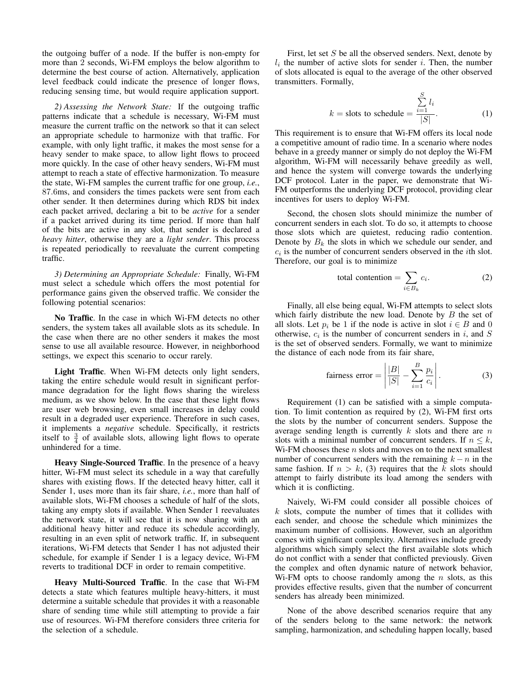the outgoing buffer of a node. If the buffer is non-empty for more than 2 seconds, Wi-FM employs the below algorithm to determine the best course of action. Alternatively, application level feedback could indicate the presence of longer flows, reducing sensing time, but would require application support.

*2) Assessing the Network State:* If the outgoing traffic patterns indicate that a schedule is necessary, Wi-FM must measure the current traffic on the network so that it can select an appropriate schedule to harmonize with that traffic. For example, with only light traffic, it makes the most sense for a heavy sender to make space, to allow light flows to proceed more quickly. In the case of other heavy senders, Wi-FM must attempt to reach a state of effective harmonization. To measure the state, Wi-FM samples the current traffic for one group, *i.e.*, 87.6ms, and considers the times packets were sent from each other sender. It then determines during which RDS bit index each packet arrived, declaring a bit to be *active* for a sender if a packet arrived during its time period. If more than half of the bits are active in any slot, that sender is declared a *heavy hitter*, otherwise they are a *light sender*. This process is repeated periodically to reevaluate the current competing traffic.

*3) Determining an Appropriate Schedule:* Finally, Wi-FM must select a schedule which offers the most potential for performance gains given the observed traffic. We consider the following potential scenarios:

No Traffic. In the case in which Wi-FM detects no other senders, the system takes all available slots as its schedule. In the case when there are no other senders it makes the most sense to use all available resource. However, in neighborhood settings, we expect this scenario to occur rarely.

Light Traffic. When Wi-FM detects only light senders, taking the entire schedule would result in significant performance degradation for the light flows sharing the wireless medium, as we show below. In the case that these light flows are user web browsing, even small increases in delay could result in a degraded user experience. Therefore in such cases, it implements a *negative* schedule. Specifically, it restricts itself to  $\frac{3}{4}$  of available slots, allowing light flows to operate unhindered for a time.

Heavy Single-Sourced Traffic. In the presence of a heavy hitter, Wi-FM must select its schedule in a way that carefully shares with existing flows. If the detected heavy hitter, call it Sender 1, uses more than its fair share, *i.e.*, more than half of available slots, Wi-FM chooses a schedule of half of the slots, taking any empty slots if available. When Sender 1 reevaluates the network state, it will see that it is now sharing with an additional heavy hitter and reduce its schedule accordingly, resulting in an even split of network traffic. If, in subsequent iterations, Wi-FM detects that Sender 1 has not adjusted their schedule, for example if Sender 1 is a legacy device, Wi-FM reverts to traditional DCF in order to remain competitive.

Heavy Multi-Sourced Traffic. In the case that Wi-FM detects a state which features multiple heavy-hitters, it must determine a suitable schedule that provides it with a reasonable share of sending time while still attempting to provide a fair use of resources. Wi-FM therefore considers three criteria for the selection of a schedule.

First, let set S be all the observed senders. Next, denote by  $l_i$  the number of active slots for sender i. Then, the number of slots allocated is equal to the average of the other observed transmitters. Formally,

$$
k = \text{ slots to schedule} = \frac{\sum_{i=1}^{S} l_i}{|S|}.
$$
 (1)

This requirement is to ensure that Wi-FM offers its local node a competitive amount of radio time. In a scenario where nodes behave in a greedy manner or simply do not deploy the Wi-FM algorithm, Wi-FM will necessarily behave greedily as well, and hence the system will converge towards the underlying DCF protocol. Later in the paper, we demonstrate that Wi-FM outperforms the underlying DCF protocol, providing clear incentives for users to deploy Wi-FM.

Second, the chosen slots should minimize the number of concurrent senders in each slot. To do so, it attempts to choose those slots which are quietest, reducing radio contention. Denote by  $B_k$  the slots in which we schedule our sender, and  $c_i$  is the number of concurrent senders observed in the *i*th slot. Therefore, our goal is to minimize

total contention = 
$$
\sum_{i \in B_k} c_i.
$$
 (2)

Finally, all else being equal, Wi-FM attempts to select slots which fairly distribute the new load. Denote by  $B$  the set of all slots. Let  $p_i$  be 1 if the node is active in slot  $i \in B$  and 0 otherwise,  $c_i$  is the number of concurrent senders in i, and S is the set of observed senders. Formally, we want to minimize the distance of each node from its fair share,

fairness error = 
$$
\left| \frac{|B|}{|S|} - \sum_{i=1}^{B} \frac{p_i}{c_i} \right|.
$$
 (3)

Requirement (1) can be satisfied with a simple computation. To limit contention as required by (2), Wi-FM first orts the slots by the number of concurrent senders. Suppose the average sending length is currently  $k$  slots and there are  $n$ slots with a minimal number of concurrent senders. If  $n \leq k$ , Wi-FM chooses these  $n$  slots and moves on to the next smallest number of concurrent senders with the remaining  $k - n$  in the same fashion. If  $n > k$ , (3) requires that the k slots should attempt to fairly distribute its load among the senders with which it is conflicting.

Naively, Wi-FM could consider all possible choices of k slots, compute the number of times that it collides with each sender, and choose the schedule which minimizes the maximum number of collisions. However, such an algorithm comes with significant complexity. Alternatives include greedy algorithms which simply select the first available slots which do not conflict with a sender that conflicted previously. Given the complex and often dynamic nature of network behavior, Wi-FM opts to choose randomly among the  $n$  slots, as this provides effective results, given that the number of concurrent senders has already been minimized.

None of the above described scenarios require that any of the senders belong to the same network: the network sampling, harmonization, and scheduling happen locally, based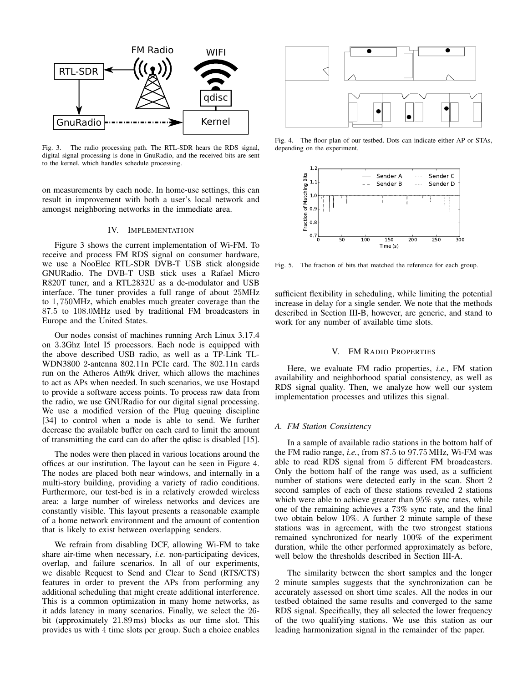

Fig. 3. The radio processing path. The RTL-SDR hears the RDS signal, digital signal processing is done in GnuRadio, and the received bits are sent to the kernel, which handles schedule processing.

on measurements by each node. In home-use settings, this can result in improvement with both a user's local network and amongst neighboring networks in the immediate area.

#### IV. IMPLEMENTATION

Figure 3 shows the current implementation of Wi-FM. To receive and process FM RDS signal on consumer hardware, we use a NooElec RTL-SDR DVB-T USB stick alongside GNURadio. The DVB-T USB stick uses a Rafael Micro R820T tuner, and a RTL2832U as a de-modulator and USB interface. The tuner provides a full range of about 25MHz to 1, 750MHz, which enables much greater coverage than the 87.5 to 108.0MHz used by traditional FM broadcasters in Europe and the United States.

Our nodes consist of machines running Arch Linux 3.17.4 on 3.3Ghz Intel I5 processors. Each node is equipped with the above described USB radio, as well as a TP-Link TL-WDN3800 2-antenna 802.11n PCIe card. The 802.11n cards run on the Atheros Ath9k driver, which allows the machines to act as APs when needed. In such scenarios, we use Hostapd to provide a software access points. To process raw data from the radio, we use GNURadio for our digital signal processing. We use a modified version of the Plug queuing discipline [34] to control when a node is able to send. We further decrease the available buffer on each card to limit the amount of transmitting the card can do after the qdisc is disabled [15].

The nodes were then placed in various locations around the offices at our institution. The layout can be seen in Figure 4. The nodes are placed both near windows, and internally in a multi-story building, providing a variety of radio conditions. Furthermore, our test-bed is in a relatively crowded wireless area: a large number of wireless networks and devices are constantly visible. This layout presents a reasonable example of a home network environment and the amount of contention that is likely to exist between overlapping senders.

We refrain from disabling DCF, allowing Wi-FM to take share air-time when necessary, *i.e.* non-participating devices, overlap, and failure scenarios. In all of our experiments, we disable Request to Send and Clear to Send (RTS/CTS) features in order to prevent the APs from performing any additional scheduling that might create additional interference. This is a common optimization in many home networks, as it adds latency in many scenarios. Finally, we select the 26 bit (approximately 21.89 ms) blocks as our time slot. This provides us with 4 time slots per group. Such a choice enables



Fig. 4. The floor plan of our testbed. Dots can indicate either AP or STAs, depending on the experiment.



Fig. 5. The fraction of bits that matched the reference for each group.

sufficient flexibility in scheduling, while limiting the potential increase in delay for a single sender. We note that the methods described in Section III-B, however, are generic, and stand to work for any number of available time slots.

## V. FM RADIO PROPERTIES

Here, we evaluate FM radio properties, *i.e.*, FM station availability and neighborhood spatial consistency, as well as RDS signal quality. Then, we analyze how well our system implementation processes and utilizes this signal.

## *A. FM Station Consistency*

In a sample of available radio stations in the bottom half of the FM radio range, *i.e.*, from 87.5 to 97.75 MHz, Wi-FM was able to read RDS signal from 5 different FM broadcasters. Only the bottom half of the range was used, as a sufficient number of stations were detected early in the scan. Short 2 second samples of each of these stations revealed 2 stations which were able to achieve greater than 95% sync rates, while one of the remaining achieves a 73% sync rate, and the final two obtain below 10%. A further 2 minute sample of these stations was in agreement, with the two strongest stations remained synchronized for nearly 100% of the experiment duration, while the other performed approximately as before, well below the thresholds described in Section III-A.

The similarity between the short samples and the longer 2 minute samples suggests that the synchronization can be accurately assessed on short time scales. All the nodes in our testbed obtained the same results and converged to the same RDS signal. Specifically, they all selected the lower frequency of the two qualifying stations. We use this station as our leading harmonization signal in the remainder of the paper.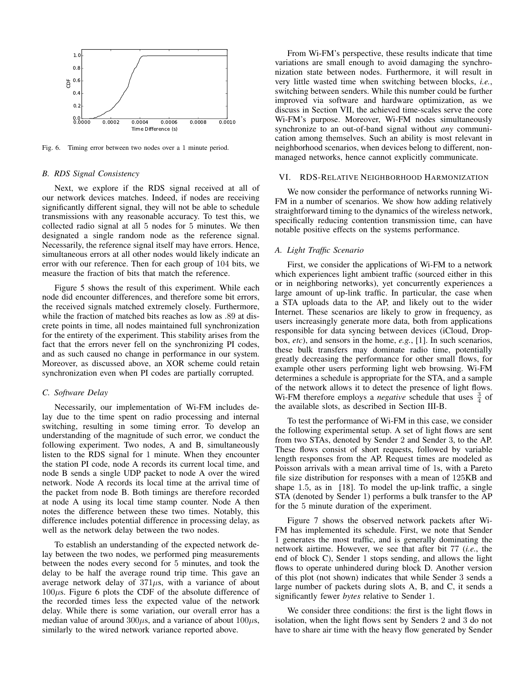

Fig. 6. Timing error between two nodes over a 1 minute period.

#### *B. RDS Signal Consistency*

Next, we explore if the RDS signal received at all of our network devices matches. Indeed, if nodes are receiving significantly different signal, they will not be able to schedule transmissions with any reasonable accuracy. To test this, we collected radio signal at all 5 nodes for 5 minutes. We then designated a single random node as the reference signal. Necessarily, the reference signal itself may have errors. Hence, simultaneous errors at all other nodes would likely indicate an error with our reference. Then for each group of 104 bits, we measure the fraction of bits that match the reference.

Figure 5 shows the result of this experiment. While each node did encounter differences, and therefore some bit errors, the received signals matched extremely closely. Furthermore, while the fraction of matched bits reaches as low as .89 at discrete points in time, all nodes maintained full synchronization for the entirety of the experiment. This stability arises from the fact that the errors never fell on the synchronizing PI codes, and as such caused no change in performance in our system. Moreover, as discussed above, an XOR scheme could retain synchronization even when PI codes are partially corrupted.

#### *C. Software Delay*

Necessarily, our implementation of Wi-FM includes delay due to the time spent on radio processing and internal switching, resulting in some timing error. To develop an understanding of the magnitude of such error, we conduct the following experiment. Two nodes, A and B, simultaneously listen to the RDS signal for 1 minute. When they encounter the station PI code, node A records its current local time, and node B sends a single UDP packet to node A over the wired network. Node A records its local time at the arrival time of the packet from node B. Both timings are therefore recorded at node A using its local time stamp counter. Node A then notes the difference between these two times. Notably, this difference includes potential difference in processing delay, as well as the network delay between the two nodes.

To establish an understanding of the expected network delay between the two nodes, we performed ping measurements between the nodes every second for 5 minutes, and took the delay to be half the average round trip time. This gave an average network delay of  $371\mu s$ , with a variance of about  $100\mu$ s. Figure 6 plots the CDF of the absolute difference of the recorded times less the expected value of the network delay. While there is some variation, our overall error has a median value of around  $300\mu s$ , and a variance of about  $100\mu s$ , similarly to the wired network variance reported above.

From Wi-FM's perspective, these results indicate that time variations are small enough to avoid damaging the synchronization state between nodes. Furthermore, it will result in very little wasted time when switching between blocks, *i.e.*, switching between senders. While this number could be further improved via software and hardware optimization, as we discuss in Section VII, the achieved time-scales serve the core Wi-FM's purpose. Moreover, Wi-FM nodes simultaneously synchronize to an out-of-band signal without *any* communication among themselves. Such an ability is most relevant in neighborhood scenarios, when devices belong to different, nonmanaged networks, hence cannot explicitly communicate.

#### VI. RDS-RELATIVE NEIGHBORHOOD HARMONIZATION

We now consider the performance of networks running Wi-FM in a number of scenarios. We show how adding relatively straightforward timing to the dynamics of the wireless network, specifically reducing contention transmission time, can have notable positive effects on the systems performance.

## *A. Light Traffic Scenario*

First, we consider the applications of Wi-FM to a network which experiences light ambient traffic (sourced either in this or in neighboring networks), yet concurrently experiences a large amount of up-link traffic. In particular, the case when a STA uploads data to the AP, and likely out to the wider Internet. These scenarios are likely to grow in frequency, as users increasingly generate more data, both from applications responsible for data syncing between devices (iCloud, Dropbox, *etc*), and sensors in the home, *e.g.*, [1]. In such scenarios, these bulk transfers may dominate radio time, potentially greatly decreasing the performance for other small flows, for example other users performing light web browsing. Wi-FM determines a schedule is appropriate for the STA, and a sample of the network allows it to detect the presence of light flows. W<sub>i-FM</sub> therefore employs a *negative* schedule that uses  $\frac{3}{4}$  of the available slots, as described in Section III-B.

To test the performance of Wi-FM in this case, we consider the following experimental setup. A set of light flows are sent from two STAs, denoted by Sender 2 and Sender 3, to the AP. These flows consist of short requests, followed by variable length responses from the AP. Request times are modeled as Poisson arrivals with a mean arrival time of 1s, with a Pareto file size distribution for responses with a mean of 125KB and shape 1.5, as in [18]. To model the up-link traffic, a single STA (denoted by Sender 1) performs a bulk transfer to the AP for the 5 minute duration of the experiment.

Figure 7 shows the observed network packets after Wi-FM has implemented its schedule. First, we note that Sender 1 generates the most traffic, and is generally dominating the network airtime. However, we see that after bit 77 (*i.e.*, the end of block C), Sender 1 stops sending, and allows the light flows to operate unhindered during block D. Another version of this plot (not shown) indicates that while Sender 3 sends a large number of packets during slots A, B, and C, it sends a significantly fewer *bytes* relative to Sender 1.

We consider three conditions: the first is the light flows in isolation, when the light flows sent by Senders 2 and 3 do not have to share air time with the heavy flow generated by Sender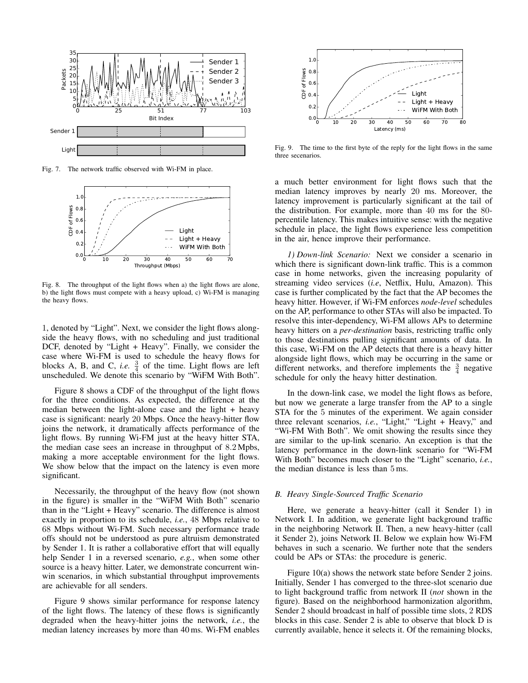

Fig. 7. The network traffic observed with Wi-FM in place.



Fig. 8. The throughput of the light flows when a) the light flows are alone, b) the light flows must compete with a heavy upload, c) Wi-FM is managing the heavy flows.

1, denoted by "Light". Next, we consider the light flows alongside the heavy flows, with no scheduling and just traditional DCF, denoted by "Light + Heavy". Finally, we consider the case where Wi-FM is used to schedule the heavy flows for blocks A, B, and C, *i.e.*  $\frac{3}{4}$  of the time. Light flows are left unscheduled. We denote this scenario by "WiFM With Both".

Figure 8 shows a CDF of the throughput of the light flows for the three conditions. As expected, the difference at the median between the light-alone case and the light  $+$  heavy case is significant: nearly 20 Mbps. Once the heavy-hitter flow joins the network, it dramatically affects performance of the light flows. By running Wi-FM just at the heavy hitter STA, the median case sees an increase in throughput of 8.2 Mpbs, making a more acceptable environment for the light flows. We show below that the impact on the latency is even more significant.

Necessarily, the throughput of the heavy flow (not shown in the figure) is smaller in the "WiFM With Both" scenario than in the "Light + Heavy" scenario. The difference is almost exactly in proportion to its schedule, *i.e.*, 48 Mbps relative to 68 Mbps without Wi-FM. Such necessary performance trade offs should not be understood as pure altruism demonstrated by Sender 1. It is rather a collaborative effort that will equally help Sender 1 in a reversed scenario, *e.g.*, when some other source is a heavy hitter. Later, we demonstrate concurrent winwin scenarios, in which substantial throughput improvements are achievable for all senders.

Figure 9 shows similar performance for response latency of the light flows. The latency of these flows is significantly degraded when the heavy-hitter joins the network, *i.e.*, the median latency increases by more than 40 ms. Wi-FM enables



Fig. 9. The time to the first byte of the reply for the light flows in the same three secenarios.

a much better environment for light flows such that the median latency improves by nearly 20 ms. Moreover, the latency improvement is particularly significant at the tail of the distribution. For example, more than 40 ms for the 80 percentile latency. This makes intuitive sense: with the negative schedule in place, the light flows experience less competition in the air, hence improve their performance.

*1) Down-link Scenario:* Next we consider a scenario in which there is significant down-link traffic. This is a common case in home networks, given the increasing popularity of streaming video services (*i.e*, Netflix, Hulu, Amazon). This case is further complicated by the fact that the AP becomes the heavy hitter. However, if Wi-FM enforces *node-level* schedules on the AP, performance to other STAs will also be impacted. To resolve this inter-dependency, Wi-FM allows APs to determine heavy hitters on a *per-destination* basis, restricting traffic only to those destinations pulling significant amounts of data. In this case, Wi-FM on the AP detects that there is a heavy hitter alongside light flows, which may be occurring in the same or different networks, and therefore implements the  $\frac{3}{4}$  negative schedule for only the heavy hitter destination.

In the down-link case, we model the light flows as before, but now we generate a large transfer from the AP to a single STA for the 5 minutes of the experiment. We again consider three relevant scenarios, *i.e.*, "Light," "Light + Heavy," and "Wi-FM With Both". We omit showing the results since they are similar to the up-link scenario. An exception is that the latency performance in the down-link scenario for "Wi-FM With Both" becomes much closer to the "Light" scenario, *i.e.*, the median distance is less than 5 ms.

## *B. Heavy Single-Sourced Traffic Scenario*

Here, we generate a heavy-hitter (call it Sender 1) in Network I. In addition, we generate light background traffic in the neighboring Network II. Then, a new heavy-hitter (call it Sender 2), joins Network II. Below we explain how Wi-FM behaves in such a scenario. We further note that the senders could be APs or STAs: the procedure is generic.

Figure 10(a) shows the network state before Sender 2 joins. Initially, Sender 1 has converged to the three-slot scenario due to light background traffic from network II (*not* shown in the figure). Based on the neighborhood harmonization algorithm, Sender 2 should broadcast in half of possible time slots, 2 RDS blocks in this case. Sender 2 is able to observe that block D is currently available, hence it selects it. Of the remaining blocks,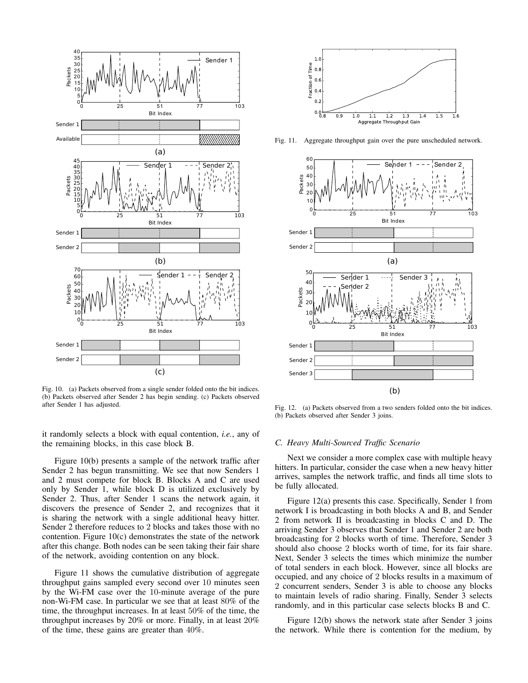

Fig. 10. (a) Packets observed from a single sender folded onto the bit indices. (b) Packets observed after Sender 2 has begin sending. (c) Packets observed after Sender 1 has adjusted.

it randomly selects a block with equal contention, *i.e.*, any of the remaining blocks, in this case block B.

Figure 10(b) presents a sample of the network traffic after Sender 2 has begun transmitting. We see that now Senders 1 and 2 must compete for block B. Blocks A and C are used only by Sender 1, while block D is utilized exclusively by Sender 2. Thus, after Sender 1 scans the network again, it discovers the presence of Sender 2, and recognizes that it is sharing the network with a single additional heavy hitter. Sender 2 therefore reduces to 2 blocks and takes those with no contention. Figure 10(c) demonstrates the state of the network after this change. Both nodes can be seen taking their fair share of the network, avoiding contention on any block.

Figure 11 shows the cumulative distribution of aggregate throughput gains sampled every second over 10 minutes seen by the Wi-FM case over the 10-minute average of the pure non-Wi-FM case. In particular we see that at least 80% of the time, the throughput increases. In at least 50% of the time, the throughput increases by 20% or more. Finally, in at least 20% of the time, these gains are greater than 40%.



Fig. 11. Aggregate throughput gain over the pure unscheduled network.



Fig. 12. (a) Packets observed from a two senders folded onto the bit indices. (b) Packets observed after Sender 3 joins.

#### *C. Heavy Multi-Sourced Traffic Scenario*

Next we consider a more complex case with multiple heavy hitters. In particular, consider the case when a new heavy hitter arrives, samples the network traffic, and finds all time slots to be fully allocated.

Figure 12(a) presents this case. Specifically, Sender 1 from network I is broadcasting in both blocks A and B, and Sender 2 from network II is broadcasting in blocks C and D. The arriving Sender 3 observes that Sender 1 and Sender 2 are both broadcasting for 2 blocks worth of time. Therefore, Sender 3 should also choose 2 blocks worth of time, for its fair share. Next, Sender 3 selects the times which minimize the number of total senders in each block. However, since all blocks are occupied, and any choice of 2 blocks results in a maximum of 2 concurrent senders, Sender 3 is able to choose any blocks to maintain levels of radio sharing. Finally, Sender 3 selects randomly, and in this particular case selects blocks B and C.

Figure 12(b) shows the network state after Sender 3 joins the network. While there is contention for the medium, by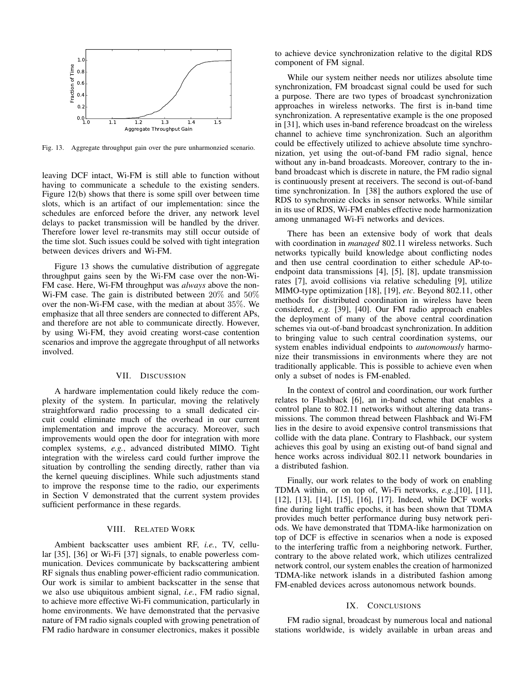

Fig. 13. Aggregate throughput gain over the pure unharmonzied scenario.

leaving DCF intact, Wi-FM is still able to function without having to communicate a schedule to the existing senders. Figure 12(b) shows that there is some spill over between time slots, which is an artifact of our implementation: since the schedules are enforced before the driver, any network level delays to packet transmission will be handled by the driver. Therefore lower level re-transmits may still occur outside of the time slot. Such issues could be solved with tight integration between devices drivers and Wi-FM.

Figure 13 shows the cumulative distribution of aggregate throughput gains seen by the Wi-FM case over the non-Wi-FM case. Here, Wi-FM throughput was *always* above the non-Wi-FM case. The gain is distributed between 20% and 50% over the non-Wi-FM case, with the median at about 35%. We emphasize that all three senders are connected to different APs, and therefore are not able to communicate directly. However, by using Wi-FM, they avoid creating worst-case contention scenarios and improve the aggregate throughput of all networks involved.

#### VII. DISCUSSION

A hardware implementation could likely reduce the complexity of the system. In particular, moving the relatively straightforward radio processing to a small dedicated circuit could eliminate much of the overhead in our current implementation and improve the accuracy. Moreover, such improvements would open the door for integration with more complex systems, *e.g.*, advanced distributed MIMO. Tight integration with the wireless card could further improve the situation by controlling the sending directly, rather than via the kernel queuing disciplines. While such adjustments stand to improve the response time to the radio, our experiments in Section V demonstrated that the current system provides sufficient performance in these regards.

## VIII. RELATED WORK

Ambient backscatter uses ambient RF, *i.e.*, TV, cellular [35], [36] or Wi-Fi [37] signals, to enable powerless communication. Devices communicate by backscattering ambient RF signals thus enabling power-efficient radio communication. Our work is similar to ambient backscatter in the sense that we also use ubiquitous ambient signal, *i.e.*, FM radio signal, to achieve more effective Wi-Fi communication, particularly in home environments. We have demonstrated that the pervasive nature of FM radio signals coupled with growing penetration of FM radio hardware in consumer electronics, makes it possible to achieve device synchronization relative to the digital RDS component of FM signal.

While our system neither needs nor utilizes absolute time synchronization, FM broadcast signal could be used for such a purpose. There are two types of broadcast synchronization approaches in wireless networks. The first is in-band time synchronization. A representative example is the one proposed in [31], which uses in-band reference broadcast on the wireless channel to achieve time synchronization. Such an algorithm could be effectively utilized to achieve absolute time synchronization, yet using the out-of-band FM radio signal, hence without any in-band broadcasts. Moreover, contrary to the inband broadcast which is discrete in nature, the FM radio signal is continuously present at receivers. The second is out-of-band time synchronization. In [38] the authors explored the use of RDS to synchronize clocks in sensor networks. While similar in its use of RDS, Wi-FM enables effective node harmonization among unmanaged Wi-Fi networks and devices.

There has been an extensive body of work that deals with coordination in *managed* 802.11 wireless networks. Such networks typically build knowledge about conflicting nodes and then use central coordination to either schedule AP-toendpoint data transmissions [4], [5], [8], update transmission rates [7], avoid collisions via relative scheduling [9], utilize MIMO-type optimization [18], [19], *etc*. Beyond 802.11, other methods for distributed coordination in wireless have been considered, *e.g.* [39], [40]. Our FM radio approach enables the deployment of many of the above central coordination schemes via out-of-band broadcast synchronization. In addition to bringing value to such central coordination systems, our system enables individual endpoints to *autonomously* harmonize their transmissions in environments where they are not traditionally applicable. This is possible to achieve even when only a subset of nodes is FM-enabled.

In the context of control and coordination, our work further relates to Flashback [6], an in-band scheme that enables a control plane to 802.11 networks without altering data transmissions. The common thread between Flashback and Wi-FM lies in the desire to avoid expensive control transmissions that collide with the data plane. Contrary to Flashback, our system achieves this goal by using an existing out-of band signal and hence works across individual 802.11 network boundaries in a distributed fashion.

Finally, our work relates to the body of work on enabling TDMA within, or on top of, Wi-Fi networks, *e.g.*,[10], [11], [12], [13], [14], [15], [16], [17]. Indeed, while DCF works fine during light traffic epochs, it has been shown that TDMA provides much better performance during busy network periods. We have demonstrated that TDMA-like harmonization on top of DCF is effective in scenarios when a node is exposed to the interfering traffic from a neighboring network. Further, contrary to the above related work, which utilizes centralized network control, our system enables the creation of harmonized TDMA-like network islands in a distributed fashion among FM-enabled devices across autonomous network bounds.

## IX. CONCLUSIONS

FM radio signal, broadcast by numerous local and national stations worldwide, is widely available in urban areas and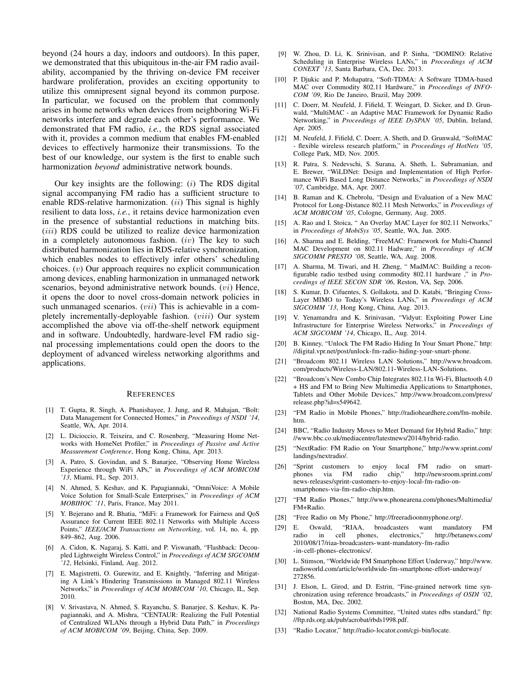beyond (24 hours a day, indoors and outdoors). In this paper, we demonstrated that this ubiquitous in-the-air FM radio availability, accompanied by the thriving on-device FM receiver hardware proliferation, provides an exciting opportunity to utilize this omnipresent signal beyond its common purpose. In particular, we focused on the problem that commonly arises in home networks when devices from neighboring Wi-Fi networks interfere and degrade each other's performance. We demonstrated that FM radio, *i.e.*, the RDS signal associated with it, provides a common medium that enables FM-enabled devices to effectively harmonize their transmissions. To the best of our knowledge, our system is the first to enable such harmonization *beyond* administrative network bounds.

Our key insights are the following:  $(i)$  The RDS digital signal accompanying FM radio has a sufficient structure to enable RDS-relative harmonization.  $(ii)$  This signal is highly resilient to data loss, *i.e.*, it retains device harmonization even in the presence of substantial reductions in matching bits. (*iii*) RDS could be utilized to realize device harmonization in a completely autonomous fashion.  $(iv)$  The key to such distributed harmonization lies in RDS-relative synchronization, which enables nodes to effectively infer others' scheduling choices.  $(v)$  Our approach requires no explicit communication among devices, enabling harmonization in unmanaged network scenarios, beyond administrative network bounds. (vi) Hence, it opens the door to novel cross-domain network policies in such unmanaged scenarios. (*vii*) This is achievable in a completely incrementally-deployable fashion. (viii) Our system accomplished the above via off-the-shelf network equipment and in software. Undoubtedly, hardware-level FM radio signal processing implementations could open the doors to the deployment of advanced wireless networking algorithms and applications.

#### **REFERENCES**

- [1] T. Gupta, R. Singh, A. Phanishayee, J. Jung, and R. Mahajan, "Bolt: Data Management for Connected Homes," in *Proceedings of NSDI '14*, Seattle, WA, Apr. 2014.
- [2] L. Dicioccio, R. Teixeira, and C. Rosenberg, "Measuring Home Networks with HomeNet Profiler," in *Proceedings of Passive and Active Measurement Conference*, Hong Kong, China, Apr. 2013.
- [3] A. Patro, S. Govindan, and S. Banarjee, "Observing Home Wireless Experience through WiFi APs," in *Proceedings of ACM MOBICOM '13*, Miami, FL, Sep. 2013.
- [4] N. Ahmed, S. Keshav, and K. Papagiannaki, "OmniVoice: A Mobile Voice Solution for Small-Scale Enterprises," in *Proceedings of ACM MOBIHOC '11*, Paris, France, May 2011.
- [5] Y. Bejerano and R. Bhatia, "MiFi: a Framework for Fairness and QoS Assurance for Current IEEE 802.11 Networks with Multiple Access Points," *IEEE/ACM Transactions on Networking*, vol. 14, no. 4, pp. 849–862, Aug. 2006.
- [6] A. Cidon, K. Nagaraj, S. Katti, and P. Viswanath, "Flashback: Decoupled Lightweight Wireless Control," in *Proceedings of ACM SIGCOMM '12*, Helsinki, Finland, Aug. 2012.
- [7] E. Magistretti, O. Gurewitz, and E. Knightly, "Inferring and Mitigating A Link's Hindering Transmissions in Managed 802.11 Wireless Networks," in *Proceedings of ACM MOBICOM '10*, Chicago, IL, Sep. 2010.
- [8] V. Srivastava, N. Ahmed, S. Rayanchu, S. Banarjee, S. Keshav, K. Papagiannaki, and A. Mishra, "CENTAUR: Realizing the Full Potential of Centralized WLANs through a Hybrid Data Path," in *Proceedings of ACM MOBICOM '09*, Beijing, China, Sep. 2009.
- [9] W. Zhou, D. Li, K. Srinivisan, and P. Sinha, "DOMINO: Relative Scheduling in Enterprise Wireless LANs," in *Proceedings of ACM CONEXT '13*, Santa Barbara, CA, Dec. 2013.
- [10] P. Djukic and P. Mohapatra, "Soft-TDMA: A Software TDMA-based MAC over Commodity 802.11 Hardware," in *Proceedings of INFO-COM '09*, Rio De Janeiro, Brazil, May 2009.
- [11] C. Doerr, M. Neufeld, J. Fifield, T. Weingart, D. Sicker, and D. Grunwald, "MultiMAC - an Adaptive MAC Framework for Dynamic Radio Networking," in *Proceedings of IEEE DySPAN '05*, Dublin, Ireland, Apr. 2005.
- [12] M. Neufeld, J. Fifield, C. Doerr, A. Sheth, and D. Grunwald, "SoftMAC - flexible wireless research platform," in *Proceedings of HotNets '05*, College Park, MD, Nov. 2005.
- [13] R. Patra, S. Nedevschi, S. Surana, A. Sheth, L. Subramanian, and E. Brewer, "WiLDNet: Design and Implementation of High Performance WiFi Based Long Distance Networks," in *Proceedings of NSDI '07*, Cambridge, MA, Apr. 2007.
- [14] B. Raman and K. Chebrolu, "Design and Evaluation of a New MAC Protocol for Long-Distance 802.11 Mesh Networks," in *Proceedings of ACM MOBICOM '05*, Cologne, Germany, Aug. 2005.
- [15] A. Rao and I. Stoica, " An Overlay MAC Layer for 802.11 Networks," in *Proceedings of MobiSys '05*, Seattle, WA, Jun. 2005.
- [16] A. Sharma and E. Belding, "FreeMAC: Framework for Multi-Channel MAC Development on 802.11 Hadware," in *Proceedings of ACM SIGCOMM PRESTO '08*, Seattle, WA, Aug. 2008.
- [17] A. Sharma, M. Tiwari, and H. Zheng, " MadMAC: Building a reconfigurable radio testbed using commodity 802.11 hardware ," in *Proceedings of IEEE SECON SDR '06*, Reston, VA, Sep. 2006.
- [18] S. Kumar, D. Cifuentes, S. Gollakota, and D. Katabi, "Bringing Cross-Layer MIMO to Today's Wireless LANs," in *Proceedings of ACM SIGCOMM '13*, Hong Kong, China, Aug. 2013.
- [19] V. Yenamandra and K. Srinivasan, "Vidyut: Exploiting Power Line Infrastructure for Enterprise Wireless Networks," in *Proceedings of ACM SIGCOMM '14*, Chicago, IL, Aug. 2014.
- [20] B. Kinney, "Unlock The FM Radio Hiding In Your Smart Phone," http: //digital.vpr.net/post/unlock-fm-radio-hiding-your-smart-phone.
- [21] "Broadcom 802.11 Wireless LAN Solutions," http://www.broadcom. com/products/Wireless-LAN/802.11-Wireless-LAN-Solutions.
- [22] "Broadcom's New Combo Chip Integrates 802.11n Wi-Fi, Bluetooth 4.0 + HS and FM to Bring New Multimedia Applications to Smartphones, Tablets and Other Mobile Devices," http://www.broadcom.com/press/ release.php?id=s549642.
- [23] "FM Radio in Mobile Phones," http://radioheardhere.com/fm-mobile. htm.
- [24] BBC, "Radio Industry Moves to Meet Demand for Hybrid Radio," http: //www.bbc.co.uk/mediacentre/latestnews/2014/hybrid-radio.
- [25] "NextRadio: FM Radio on Your Smartphone," http://www.sprint.com/ landings/nextradio/.
- [26] "Sprint customers to enjoy local FM radio on smarthttp://newsroom.sprint.com/ news-releases/sprint-customers-to-enjoy-local-fm-radio-onsmartphones-via-fm-radio-chip.htm.
- [27] "FM Radio Phones," http://www.phonearena.com/phones/Multimedia/ FM+Radio.
- [28] "Free Radio on My Phone," http://freeradioonmyphone.org/.
- [29] E. Oswald, "RIAA, broadcasters want mandatory FM radio in cell phones, electronics," 2010/08/17/riaa-broadcasters-want-mandatory-fm-radio -in-cell-phones-electronics/.
- [30] L. Stimson, "Worldwide FM Smartphone Effort Underway," http://www. radioworld.com/article/worldwide-fm-smartphone-effort-underway/ 272856.
- [31] J. Elson, L. Girod, and D. Estrin, "Fine-grained network time synchronization using reference broadcasts," in *Proceedings of OSDI '02*, Boston, MA, Dec. 2002.
- [32] National Radio Systems Committee, "United states rdbs standard," ftp: //ftp.rds.org.uk/pub/acrobat/rbds1998.pdf.
- [33] "Radio Locator," http://radio-locator.com/cgi-bin/locate.